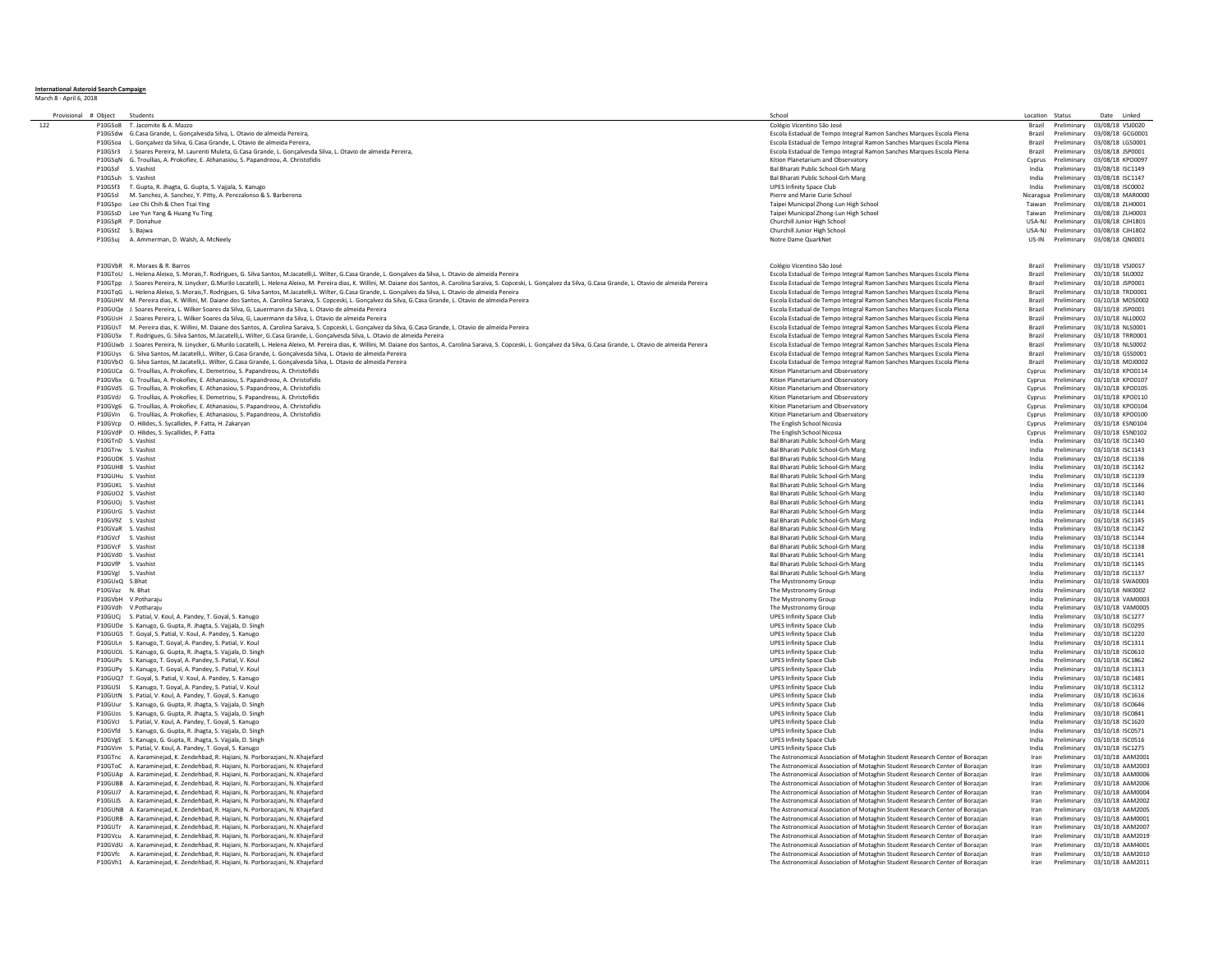**International Asteroid Search Campaign** March 8 - April 6, 2018

| Provisional # Object | Student                                                                                                                                                                                                                       | Schoo                                                                        | Location | Status                | Date<br>Linked               |
|----------------------|-------------------------------------------------------------------------------------------------------------------------------------------------------------------------------------------------------------------------------|------------------------------------------------------------------------------|----------|-----------------------|------------------------------|
| 122                  | P10GSo8 T. Jacomite & A. Mazzo                                                                                                                                                                                                | Colégio Vicentino São José                                                   | Brazil   | Preliminary           | 03/08/18 VSJ0020             |
|                      | P10GSdw G.Casa Grande, L. Gonçalvesda Silva, L. Otavio de almeida Pereira                                                                                                                                                     | Escola Estadual de Tempo Integral Ramon Sanches Marques Escola Plena         | Brazil   | Preliminary           | 03/08/18 GCG0001             |
|                      |                                                                                                                                                                                                                               |                                                                              |          |                       |                              |
|                      | P10GSoa L. Goncalvez da Silva, G.Casa Grande, L. Otavio de almeida Pereira.                                                                                                                                                   | Escola Estadual de Tempo Integral Ramon Sanches Marques Escola Plena         | Brazil   | Preliminary           | 03/08/18 LGS0001             |
| P10GSr3              | J. Soares Pereira, M. Laurenti Muleta, G.Casa Grande, L. Gonçalvesda Silva, L. Otavio de almeida Pereira,                                                                                                                     | Escola Estadual de Tempo Integral Ramon Sanches Marques Escola Plena         | Brazil   | Preliminary           | 03/08/18 JSP0001             |
|                      | P10GSqN G. Troullias, A. Prokofiev, E. Athanasiou, S. Papandreou, A. Christofidis                                                                                                                                             | Kition Planetarium and Observatory                                           | Cyprus   | Preliminary           | 03/08/18 KPO0097             |
| P10GSsf              | S. Vashist                                                                                                                                                                                                                    | Bal Bharati Public School-Grh Marg                                           | India    | Preliminary           | 03/08/18 ISC1149             |
|                      |                                                                                                                                                                                                                               |                                                                              |          |                       |                              |
| P10GSuh              | S. Vashist                                                                                                                                                                                                                    | Bal Bharati Public School-Grh Marg                                           | India    | Preliminary           | 03/08/18 ISC1147             |
| P10GSf3              | T. Gupta, R. Jhagta, G. Gupta, S. Vajjala, S. Kanugo                                                                                                                                                                          | <b>UPES Infinity Space Club</b>                                              | India    | Preliminary           | 03/08/18 ISC0002             |
| P10GSsl              |                                                                                                                                                                                                                               | Pierre and Marie Curie School                                                |          |                       | 03/08/18 MAR000              |
|                      | M. Sanchez, A. Sanchez, Y. Pitty, A. Perezalonso & S. Barberena                                                                                                                                                               |                                                                              |          | Nicaragua Preliminary |                              |
|                      | P10GSpo Lee Chi Chih & Chen Tsai Ying                                                                                                                                                                                         | Taipei Municipal Zhong-Lun High School                                       | Taiwan   | Preliminary           | 03/08/18 ZLH0001             |
| P10GSsD              | Lee Yun Yang & Huang Yu Ting                                                                                                                                                                                                  | Taipei Municipal Zhong-Lun High School                                       | Taiwan   | Preliminary           | 03/08/18 ZLH0003             |
|                      | P10GSpR P. Donahue                                                                                                                                                                                                            | Churchill Junior High School                                                 | USA-NJ   | Preliminary           | 03/08/18 CJH1801             |
|                      |                                                                                                                                                                                                                               |                                                                              |          |                       |                              |
| P10GStZ S. Baiwa     |                                                                                                                                                                                                                               | Churchill Junior High School                                                 | USA-NJ   | Preliminary           | 03/08/18 CJH1802             |
| P10GSuj              | A. Ammerman, D. Walsh, A. McNeely                                                                                                                                                                                             | Notre Dame QuarkNet                                                          | US-IN    | Preliminary           | 03/08/18 QN0001              |
|                      |                                                                                                                                                                                                                               |                                                                              |          |                       |                              |
|                      |                                                                                                                                                                                                                               |                                                                              |          |                       |                              |
|                      |                                                                                                                                                                                                                               |                                                                              |          |                       |                              |
|                      | P10GVbR R. Moraes & R. Barros                                                                                                                                                                                                 | Colégio Vicentino São José                                                   | Brazil   | Preliminary           | 03/10/18 VSI0017             |
|                      | P10GToU L. Helena Aleixo, S. Morais, T. Rodrigues, G. Silva Santos, M.Jacatelli, L. Wilter, G.Casa Grande, L. Goncalves da Silva, L. Otavio de almeida Pereira                                                                | Escola Estadual de Tempo Integral Ramon Sanches Marques Escola Plena         | Brazil   | Preliminary           | 03/10/18 SIL0002             |
|                      | P10GTpp J. Soares Pereira, N. Linycker, G.Murilo Locatelli, L. Helena Aleixo, M. Pereira dias, K. Willini, M. Daiane dos Santos, A. Carolina Saraiva, S. Copceski, L. Goncalvez da Silva, G.Casa Grande, L. Otavio de almeida | Escola Estadual de Tempo Integral Ramon Sanches Marques Escola Plena         | Brazil   | Preliminary           | 03/10/18 JSP0001             |
|                      |                                                                                                                                                                                                                               |                                                                              |          |                       |                              |
|                      | P10GTqG L. Helena Aleixo, S. Morais,T. Rodrigues, G. Silva Santos, M.Jacatelli,L. Wilter, G.Casa Grande, L. Gonçalves da Silva, L. Otavio de almeida Pereira                                                                  | Escola Estadual de Tempo Integral Ramon Sanches Marques Escola Plena         | Brazil   | Preliminary           | 03/10/18 TRD0001             |
|                      | P10GUHV M. Pereira dias. K. Willini, M. Daiane dos Santos. A. Carolina Saraiya. S. Copceski, L. Goncalvez da Silya. G.Casa Grande. L. Otayio de almeida Pereira                                                               | Escola Estadual de Tempo Integral Ramon Sanches Marques Escola Plena         | Brazil   | Preliminary           | 03/10/18 MDS0002             |
|                      | P10GUQe J. Soares Pereira, L. Wilker Soares da Silva, G. Lauermann da Silva, L. Otavio de almeida Pereira                                                                                                                     |                                                                              | Brazil   | Preliminary           | 03/10/18 JSP0001             |
|                      |                                                                                                                                                                                                                               | Escola Estadual de Tempo Integral Ramon Sanches Marques Escola Plena         |          |                       |                              |
|                      | P10GUsH J. Soares Pereira, L. Wilker Soares da Silva, G. Lauermann da Silva, L. Otavio de almeida Pereira                                                                                                                     | Escola Estadual de Tempo Integral Ramon Sanches Marques Escola Plena         | Brazil   | Preliminary           | 03/10/18 NLL0002             |
|                      | P10GUsT M. Pereira dias, K. Willini, M. Daiane dos Santos, A. Carolina Saraiva, S. Copceski, L. Gonçalvez da Silva, G.Casa Grande, L. Otavio de almeida Pereira                                                               | Escola Estadual de Tempo Integral Ramon Sanches Marques Escola Plena         | Brazil   | Preliminary           | 03/10/18 NLS0001             |
|                      | P10GUSx T. Rodrigues, G. Silva Santos, M.Jacatelli.L. Wilter, G.Casa Grande, L. Goncalvesda Silva, L. Otavio de almeida Pereira                                                                                               | Escola Estadual de Tempo Integral Ramon Sanches Marques Escola Plena         | Brazil   | Preliminary           | 03/10/18 TRR0001             |
|                      |                                                                                                                                                                                                                               |                                                                              |          |                       |                              |
|                      | P10GUwb J. Soares Pereira, N. Linycker, G.Murilo Locatelli, L. Helena Aleixo, M. Pereira dias, K. Willini, M. Daiane dos Santos, A. Carolina Saraiva, S. Copceski, L. Gonçalvez da Silva, G.Casa Grande, L. Otavio de almeida | Escola Estadual de Tempo Integral Ramon Sanches Marques Escola Plena         | Brazil   | Preliminary           | 03/10/18 NLS0002             |
|                      | P10GUys G. Silva Santos, M.Jacatelli, L. Wilter, G.Casa Grande, L. Gonçalvesda Silva, L. Otavio de almeida Pereira                                                                                                            | Escola Estadual de Tempo Integral Ramon Sanches Marques Escola Plena         | Brazil   | Preliminary           | 03/10/18 GSS0001             |
|                      | P10GVbO G. Silva Santos, M.Jacatelli, L. Wilter, G.Casa Grande, L. Gonçalvesda Silva, L. Otavio de almeida Pereira                                                                                                            | Escola Estadual de Tempo Integral Ramon Sanches Marques Escola Plena         | Brazil   | Preliminary           | 03/10/18 MDJ0002             |
|                      |                                                                                                                                                                                                                               |                                                                              |          |                       |                              |
|                      | P10GUCa G. Troullias, A. Prokofiev, E. Demetriou, S. Papandreou, A. Christofidis                                                                                                                                              | Kition Planetarium and Observatory                                           | Cyprus   | Preliminary           | 03/10/18 KPO0114             |
|                      | P10GVbx G. Troullias, A. Prokofiev, E. Athanasiou, S. Papandreou, A. Christofidis                                                                                                                                             | Kition Planetarium and Observatory                                           |          | Cyprus Preliminary    | 03/10/18 KPO0107             |
|                      | P10GVd5 G. Troullias, A. Prokofiev, E. Athanasiou, S. Papandreou, A. Christofidis                                                                                                                                             | Kition Planetarium and Observatory                                           | Cyprus   | Preliminary           | 03/10/18 KPO0105             |
|                      |                                                                                                                                                                                                                               |                                                                              |          |                       |                              |
|                      | P10GVdJ G. Troullias, A. Prokofiev, E. Demetriou, S. Papandreou, A. Christofidis                                                                                                                                              | Kition Planetarium and Observatory                                           | Cyprus   | Preliminary           | 03/10/18 KPO0110             |
|                      | P10GVg6 G. Troullias, A. Prokofiev, E. Athanasiou, S. Papandreou, A. Christofidis                                                                                                                                             | Kition Planetarium and Observatory                                           | Cyprus   | Preliminary           | 03/10/18 KPO0104             |
|                      | P10GVin G. Troullias, A. Prokofiev, E. Athanasiou, S. Papandreou, A. Christofidis                                                                                                                                             | Kition Planetarium and Observatory                                           |          | Cyprus Preliminary    | 03/10/18 KPO0100             |
|                      |                                                                                                                                                                                                                               |                                                                              |          |                       | 03/10/18 ESN0104             |
|                      | P10GVcp O. Hilides, S. Sycallides, P. Fatta, H. Zakaryan                                                                                                                                                                      | The English School Nicosia                                                   | Cyprus   | Preliminary           |                              |
|                      | P10GVdP O. Hilides, S. Sycallides, P. Fatta                                                                                                                                                                                   | The English School Nicosia                                                   | Cyprus   | Preliminary           | 03/10/18 ESN0102             |
| P10GTnD S. Vashist   |                                                                                                                                                                                                                               | Bal Bharati Public School-Grh Marg                                           | India    | Preliminary           | 03/10/18 ISC1140             |
| P10GTrw S. Vashist   |                                                                                                                                                                                                                               | Bal Bharati Public School-Grh Marg                                           | India    | Preliminary           | 03/10/18 ISC1143             |
|                      |                                                                                                                                                                                                                               |                                                                              |          |                       |                              |
| P10GUDK S. Vashist   |                                                                                                                                                                                                                               | Bal Bharati Public School-Grh Marg                                           | India    | Preliminary           | 03/10/18 ISC1136             |
| P10GUH8 S. Vashist   |                                                                                                                                                                                                                               | Bal Bharati Public School-Grh Marg                                           | India    | Preliminary           | 03/10/18 ISC1142             |
| P10GUHu S. Vashist   |                                                                                                                                                                                                                               | Bal Bharati Public School-Grh Marg                                           | India    | Preliminary           | 03/10/18 ISC1139             |
|                      |                                                                                                                                                                                                                               |                                                                              |          |                       |                              |
| P10GUKL S. Vashist   |                                                                                                                                                                                                                               | Bal Bharati Public School-Grh Marg                                           | India    | Preliminary           | 03/10/18 ISC1146             |
| P10GUO2 S. Vashist   |                                                                                                                                                                                                                               | Bal Bharati Public School-Grh Marg                                           | India    | Preliminary           | 03/10/18 ISC1140             |
| P10GUOj S. Vashist   |                                                                                                                                                                                                                               | Bal Bharati Public School-Grh Marg                                           | India    | Preliminary           | 03/10/18 ISC1141             |
|                      |                                                                                                                                                                                                                               |                                                                              |          |                       |                              |
| P10GUrG S. Vashist   |                                                                                                                                                                                                                               | Bal Bharati Public School-Grh Marg                                           | India    | Preliminary           | 03/10/18 ISC1144             |
| P10GV9Z S. Vashist   |                                                                                                                                                                                                                               | Bal Bharati Public School-Grh Marg                                           | India    | Preliminary           | 03/10/18 ISC1145             |
| P10GVaR S. Vashist   |                                                                                                                                                                                                                               | Bal Bharati Public School-Grh Marg                                           | India    | Preliminary           | 03/10/18 ISC1142             |
|                      |                                                                                                                                                                                                                               |                                                                              |          |                       |                              |
| P10GVcf              | S. Vashist                                                                                                                                                                                                                    | Bal Bharati Public School-Grh Marg                                           | India    | Preliminary           | 03/10/18 ISC1144             |
| P10GVcF S. Vashist   |                                                                                                                                                                                                                               | Bal Bharati Public School-Grh Marg                                           | India    | Preliminary           | 03/10/18 ISC1138             |
| P10GVd0 S. Vashist   |                                                                                                                                                                                                                               | Bal Bharati Public School-Grh Marg                                           | India    | Preliminary           | 03/10/18 ISC1141             |
| P10GVfP              | S. Vashist                                                                                                                                                                                                                    | Bal Bharati Public School-Grh Marg                                           | India    | Preliminary           | 03/10/18 ISC1145             |
|                      |                                                                                                                                                                                                                               |                                                                              |          |                       |                              |
| P10GVgl S. Vashist   |                                                                                                                                                                                                                               | Bal Bharati Public School-Grh Marg                                           | India    | Preliminary           | 03/10/18 ISC1137             |
| P10GUxQ S.Bhat       |                                                                                                                                                                                                                               | The Mystronomy Group                                                         | India    | Preliminary           | 03/10/18 SWA0003             |
| P10GVaz N. Bhat      |                                                                                                                                                                                                                               | The Mystronomy Group                                                         | India    | Preliminary           | 03/10/18 NIK0002             |
|                      |                                                                                                                                                                                                                               |                                                                              |          |                       |                              |
|                      | P10GVbH V.Potharaju                                                                                                                                                                                                           | The Mystronomy Group                                                         | India    | Preliminary           | 03/10/18 VAM000              |
|                      | P10GVdh V.Potharaiu                                                                                                                                                                                                           | The Mystronomy Group                                                         | India    | Preliminary           | 03/10/18 VAM0005             |
|                      | P10GUCj S. Patial, V. Koul, A. Pandey, T. Goyal, S. Kanugo                                                                                                                                                                    | <b>UPES Infinity Space Club</b>                                              | India    | Preliminary           | 03/10/18 ISC1277             |
|                      |                                                                                                                                                                                                                               |                                                                              |          |                       |                              |
|                      | P10GUDe S. Kanugo, G. Gupta, R. Jhagta, S. Vaijala, D. Singh                                                                                                                                                                  | <b>UPES Infinity Space Club</b>                                              | India    | Preliminary           | 03/10/18 ISC0295             |
|                      | P10GUGS T. Goyal, S. Patial, V. Koul, A. Pandey, S. Kanugo                                                                                                                                                                    | <b>UPES Infinity Space Club</b>                                              | India    | Preliminary           | 03/10/18 ISC1220             |
|                      | P10GULn S. Kanugo, T. Goyal, A. Pandey, S. Patial, V. Koul                                                                                                                                                                    | <b>UPES Infinity Space Club</b>                                              | India    | Preliminary           | 03/10/18 ISC1311             |
|                      | P10GUOL S. Kanugo, G. Gupta, R. Jhagta, S. Vajjala, D. Singh                                                                                                                                                                  | <b>UPES Infinity Space Club</b>                                              | India    | Preliminary           | 03/10/18 ISC0610             |
|                      |                                                                                                                                                                                                                               |                                                                              |          |                       |                              |
|                      | P10GUPs S. Kanugo, T. Goyal, A. Pandey, S. Patial, V. Koul                                                                                                                                                                    | <b>UPES Infinity Space Club</b>                                              | India    | Preliminary           | 03/10/18 ISC1862             |
|                      | P10GUPv S. Kanugo, T. Goval, A. Pandey, S. Patial, V. Koul                                                                                                                                                                    | <b>UPES Infinity Space Club</b>                                              | India    | Preliminary           | 03/10/18 ISC1313             |
|                      | P10GUQ7 T. Goyal, S. Patial, V. Koul, A. Pandey, S. Kanugo                                                                                                                                                                    | <b>UPES Infinity Space Club</b>                                              | India    | Preliminary           | 03/10/18 ISC1481             |
|                      |                                                                                                                                                                                                                               |                                                                              |          |                       |                              |
|                      | P10GUSI S. Kanugo, T. Goval, A. Pandey, S. Patial, V. Koul                                                                                                                                                                    | <b>UPES Infinity Space Club</b>                                              | India    | Preliminary           | 03/10/18 ISC1312             |
|                      | P10GUtN S. Patial, V. Koul, A. Pandey, T. Goyal, S. Kanugo                                                                                                                                                                    | <b>UPES Infinity Space Club</b>                                              | India    | Preliminary           | 03/10/18 ISC1616             |
|                      | P10GUur S. Kanugo, G. Gupta, R. Jhagta, S. Vaijala, D. Singh                                                                                                                                                                  | <b>UPES Infinity Space Club</b>                                              | India    | Preliminary           | 03/10/18 ISC0646             |
|                      |                                                                                                                                                                                                                               |                                                                              |          |                       |                              |
|                      | P10GUzs S. Kanugo, G. Gupta, R. Jhagta, S. Vajjala, D. Singh                                                                                                                                                                  | <b>UPES Infinity Space Club</b>                                              | India    | Preliminary           | 03/10/18 ISC0841             |
|                      | P10GVcl S. Patial, V. Koul, A. Pandey, T. Goyal, S. Kanugo                                                                                                                                                                    | <b>UPES Infinity Space Club</b>                                              | India    | Preliminary           | 03/10/18 ISC1620             |
| P10GVfd              | S. Kanugo, G. Gupta, R. Jhagta, S. Vajjala, D. Singh                                                                                                                                                                          | <b>UPES Infinity Space Club</b>                                              | India    | Preliminary           | 03/10/18 ISC0571             |
|                      |                                                                                                                                                                                                                               | <b>UPES Infinity Space Club</b>                                              |          |                       | 03/10/18 ISC0516             |
|                      | P10GVeE S. Kanugo, G. Gupta, R. Jhagta, S. Vaijala, D. Singh                                                                                                                                                                  |                                                                              | India    | Preliminary           |                              |
|                      | P10GVim S. Patial, V. Koul, A. Pandey, T. Goyal, S. Kanugo                                                                                                                                                                    | <b>UPES Infinity Space Club</b>                                              | India    | Preliminary           | 03/10/18 ISC1275             |
|                      | P10GTnc A. Karaminejad, K. Zendehbad, R. Hajiani, N. Porborazjani, N. Khajefard                                                                                                                                               | The Astronomical Association of Motaghin Student Research Center of Borazjan | Iran     | Preliminary           | 03/10/18 AAM200              |
|                      |                                                                                                                                                                                                                               |                                                                              |          | Preliminary           | 03/10/18 AAM2003             |
|                      | P10GToC A. Karaminejad, K. Zendehbad, R. Hajiani, N. Porborazjani, N. Khajefard                                                                                                                                               | The Astronomical Association of Motaghin Student Research Center of Borazjan | Iran     |                       |                              |
|                      | P10GUAp A. Karaminejad, K. Zendehbad, R. Hajiani, N. Porborazjani, N. Khajefard                                                                                                                                               | The Astronomical Association of Motaghin Student Research Center of Borazjan | Iran     | Preliminary           | 03/10/18 AAM0006             |
|                      | P10GUBB A. Karaminejad, K. Zendehbad, R. Hajjani, N. Porborazjani, N. Khajefard                                                                                                                                               | The Astronomical Association of Motaghin Student Research Center of Borazian | Iran     | Preliminary           | 03/10/18 AAM2006             |
|                      | P10GUJ7 A. Karaminejad, K. Zendehbad, R. Hajiani, N. Porborazjani, N. Khajefard                                                                                                                                               | The Astronomical Association of Motaghin Student Research Center of Borazjan | Iran     | Preliminary           | 03/10/18 AAM000              |
|                      |                                                                                                                                                                                                                               |                                                                              |          |                       |                              |
|                      | P10GUJS A. Karamineiad. K. Zendehbad. R. Haijani. N. Porboraziani. N. Khaiefard                                                                                                                                               | The Astronomical Association of Motaghin Student Research Center of Borazian | Iran     | Preliminary           | 03/10/18 AAM2002             |
|                      | P10GUNB A. Karaminejad, K. Zendehbad, R. Hajiani, N. Porborazjani, N. Khajefard                                                                                                                                               | The Astronomical Association of Motaghin Student Research Center of Borazjan | Iran     | Preliminary           | 03/10/18 AAM2005             |
|                      | P10GURB A. Karaminejad, K. Zendehbad, R. Hajjani, N. Porboraziani, N. Khajefard                                                                                                                                               | The Astronomical Association of Motaghin Student Research Center of Borazian | Iran     | Preliminary           | 03/10/18 AAM000              |
|                      |                                                                                                                                                                                                                               |                                                                              |          |                       |                              |
|                      | P10GUTr A. Karaminejad, K. Zendehbad, R. Hajiani, N. Porborazjani, N. Khajefard                                                                                                                                               | The Astronomical Association of Motaghin Student Research Center of Borazjan | Iran     | Preliminary           | 03/10/18 AAM200              |
|                      | P10GVcu A. Karaminejad, K. Zendehbad, R. Hajiani, N. Porborazjani, N. Khajefard                                                                                                                                               | The Astronomical Association of Motaghin Student Research Center of Borazjan | Iran     | Preliminary           | 03/10/18 AAM2019             |
|                      | P10GVdU A. Karaminejad, K. Zendehbad, R. Hajiani, N. Porborazjani, N. Khajefard                                                                                                                                               | The Astronomical Association of Motaghin Student Research Center of Borazjan | Iran     | Preliminary           | 03/10/18 AAM4001             |
|                      |                                                                                                                                                                                                                               |                                                                              |          |                       |                              |
|                      | P10GVfc A. Karaminejad, K. Zendehbad, R. Hajiani, N. Porborazjani, N. Khajefard                                                                                                                                               | The Astronomical Association of Motaghin Student Research Center of Borazjan | Iran     | Preliminary           | 03/10/18 AAM2010             |
|                      | P10GVh1 A. Karaminejad, K. Zendehbad, R. Hajiani, N. Porborazjani, N. Khajefard                                                                                                                                               | The Astronomical Association of Motaghin Student Research Center of Borazjan | Iran     |                       | Preliminary 03/10/18 AAM2011 |
|                      |                                                                                                                                                                                                                               |                                                                              |          |                       |                              |